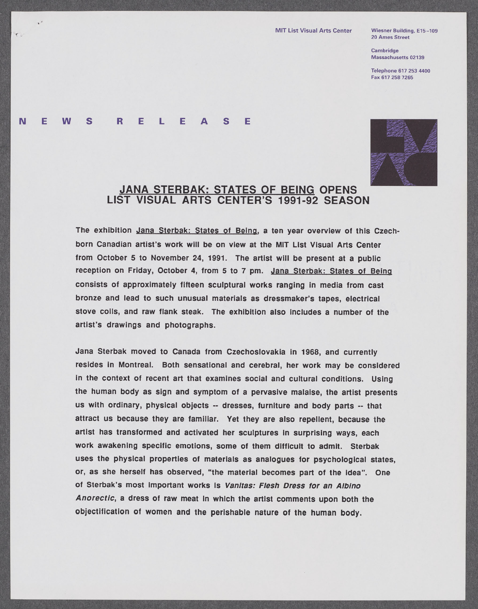20 Ames Street

Cambridge Massachusetts **02139**

Telephone **[617 253](tel:6172534400)** 4400 Fax **[617 258 7265](fax:6172587265)**

## **N E W S R E** L **E A S E**

 $\cdot$ 

 $\epsilon$ 



## **JANA** STERBAK: **STATES** OF **BEING OPENS LIST VISUAL** ARTS **CENTER'S 1991-92 SEASON**

The exhibition Jana Sterbak: States of Being, a ten year overview of this Czechborn Canadian artist's work will be on view at the MIT List Visual Arts Center from October **5** to November 24, **1991.** The artist will be present at a public reception on Friday, October 4, from **5** to **7** pm. Jana Sterbak: States of Being consists of approximately fifteen sculptural works ranging In media from cast bronze and lead to such unusual materials as dressmaker's tapes, electrical stove coils, and raw flank steak. The exhibition also includes a number of the artist's drawings and photographs.

Jana Sterbak moved to Canada from Czechoslovakia in **1968,** and currently resides in Montreal. Both sensational and cerebral, her work may be considered in the context of recent art that examines social and cultural conditions. Using the human body as sign and symptom of a pervasive malaise, the artist presents us with ordinary, physical objects **--** dresses, furniture and body parts **--** that attract us because they are familiar. Yet they are also repellent, because the artist has transformed and activated her sculptures in surprising ways, each work awakening specific emotions, some of them difficult to admit. Sterbak uses the physical properties of materials as analogues for psychological states, or, as she herself has observed, "the material becomes part of the idea". One of Sterbak's most important works is Vanitas: Flesh Dress for an Albino Anorectic, a dress of raw meat In which the artist comments upon both the objectification of women and the perishable nature of the human body.